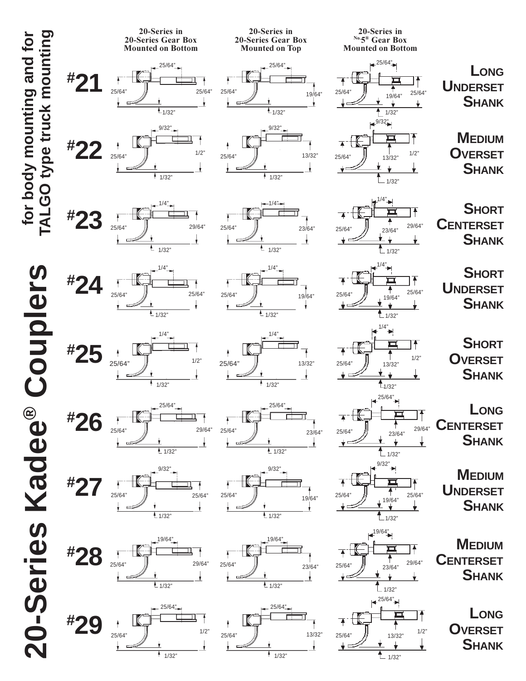**20-Series Kadee**

20-Series Kadee® Couplers

**® Couplers**